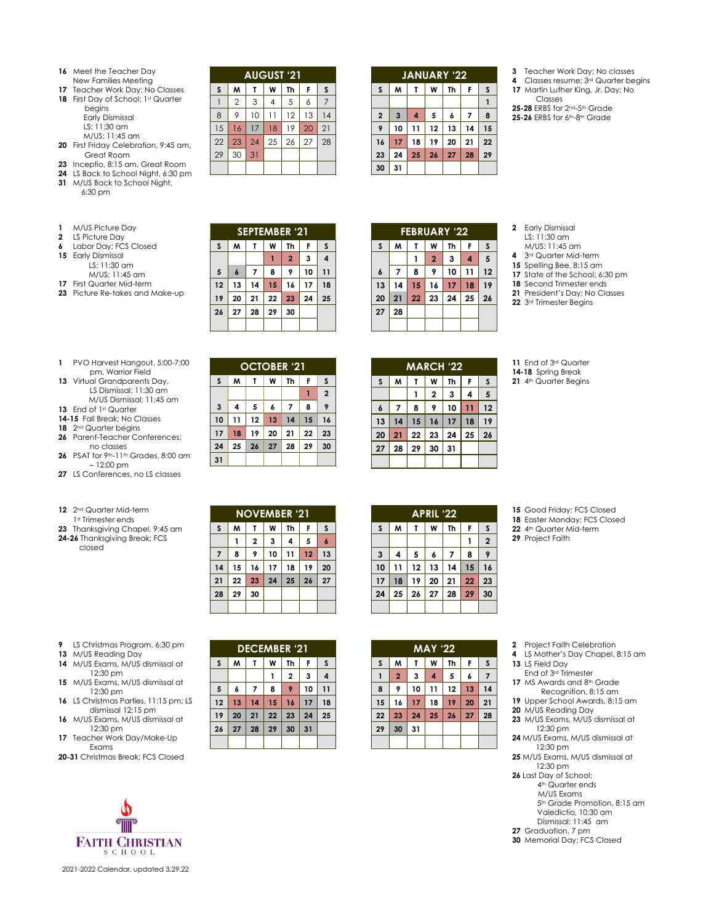- Meet the Teacher Day
- New Families Meeting
- Teacher Work Day; No Classes 18 First Day of School; 1st Quarter
	- begins
		- Early Dismissal LS: 11:30 am M/US: 11:45 am
- First Friday Celebration, 9:45 am, Great Room
- Inceptio, 8:15 am, Great Room
- LS Back to School Night, 6:30 pm
- M/US Back to School Night,
- 6:30 pm

| M/US Picture Day |
|------------------|
|                  |

- LS Picture Day
- [Labor Day;](http://www.calendarlabs.com/holidays/us/labor-day.php) FCS Closed
- Early Dismissal LS: 11:30 am
	- M/US: 11:45 am
- First Quarter Mid-term
- Picture Re-takes and Make-up

|    | <b>SEPTEMBER '21</b> |    |    |                |    |    |  |  |
|----|----------------------|----|----|----------------|----|----|--|--|
| S  | M                    | τ  | W  | Th             | F  | S  |  |  |
|    |                      |    |    | $\overline{2}$ | 3  | 4  |  |  |
| 5  | 6                    |    | 8  | 9              | 10 | 11 |  |  |
| 12 | 13                   | 14 | 15 | 16             | 17 | 18 |  |  |
| 19 | 20                   | 21 | 22 | 23             | 24 | 25 |  |  |
| 26 | 27                   | 28 | 29 | 30             |    |    |  |  |
|    |                      |    |    |                |    |    |  |  |

**OCTOBER '21**  $S$  **M T W Th F S** 

**AUGUST '21 S M T W Th F S** 1 2 3 4 5 6 7 9 10 11 12 13 14 16 17 18 19 20 21 23 24 25 26 27 28

30 31

- PVO Harvest Hangout, 5:00-7:00 pm, Warrior Field
- Virtual Grandparents Day, LS Dismissal: 11:30 am M/US Dismissal: 11:45 am
- 13 End of 1st Quarter
- **14-15** Fall Break; No Classes
- 2nd Quarter begins
- Parent-Teacher Conferences; no classes PSAT for 9th-11th Grades, 8:00 am
- 12:00 pm
- LS Conferences, no LS classes
- 2nd Quarter Mid-term 1st Trimester ends
- Thanksgiving Chapel, 9:45 am
- **24-26** Thanksgiving Break; FCS closed

 LS Christmas Program, 6:30 pm M/US Reading Day M/US Exams, M/US dismissal at 12:30 pm M/US Exams, M/US dismissal at 12:30 pm LS Christmas Parties, 11:15 pm; LS dismissal 12:15 pm M/US Exams, M/US dismissal at 12:30 pm Teacher Work Day/Make-Up Exams **20-31** Christmas Break; FCS Closed

| <b>NOVEMBER '21</b> |    |                         |    |    |    |                  |  |
|---------------------|----|-------------------------|----|----|----|------------------|--|
| $\mathsf S$         | M  | т                       | W  | Th | F  | S                |  |
|                     |    | $\overline{\mathbf{2}}$ | 3  | 4  | 5  | $\boldsymbol{6}$ |  |
| $\overline{7}$      | 8  | 9                       | 10 | 11 | 12 | 13               |  |
| 14                  | 15 | 16                      | 17 | 18 | 19 | 20               |  |
| 21                  | 22 | 23                      | 24 | 25 | 26 | 27               |  |
| 28                  | 29 | 30                      |    |    |    |                  |  |
|                     |    |                         |    |    |    |                  |  |

**DECEMBER '21 S M T W Th F S**

 **6 7 8 9 10 11 13 14 15 16 17 18 20 21 22 23 24 25 27 28 29 30 31**

**2 3 4**

|    |    |    | <b>APRIL '22</b> |    |    |
|----|----|----|------------------|----|----|
| S  | M  | Т  | W                | Th | F  |
|    |    |    |                  |    |    |
| 3  | 4  | 5  | 6                | 7  | 8  |
| 10 | 11 | 12 | 13               | 14 | 15 |
| 17 | 18 | 19 | 20               | 21 | 22 |
| 24 | 25 | 26 | 27               | 28 | 29 |
|    |    |    |                  |    |    |

**30 31**

**28 29 30 31**

**S M T W Th F S 2 4 5 6 7 8 9 11 12 13 14 15 16 18 19 20 21 22 23 25 26 27 28 29 30**

**MAY '22 S M T W Th F S 2 3 4 5 6 7 9 10 11 12 13 14 16 17 18 19 20 21 23 24 25 26 27 28**

- **3** Teacher Work Day; No classes<br>**4** Classes resume: 3<sup>rd</sup> Quarter be
- Classes resume; 3rd Quarter begins Martin Luther King, Jr. Day; No
- Classes **25-28** ERBS for 2nd-5th Grade **25-26** ERBS for 6<sup>th</sup>-8<sup>th</sup> Grade

|    | <b>FEBRUARY '22</b> |    |                |    |    |    |  |  |
|----|---------------------|----|----------------|----|----|----|--|--|
| S  | M                   | т  | W              | Th | F  | S  |  |  |
|    |                     |    | $\overline{2}$ | 3  | 4  | 5  |  |  |
| 6  | 7                   | 8  | 9              | 10 | 11 | 12 |  |  |
| 13 | 14                  | 15 | 16             | 17 | 18 | 19 |  |  |
| 20 | 21                  | 22 | 23             | 24 | 25 | 26 |  |  |
| 27 | 28                  |    |                |    |    |    |  |  |
|    |                     |    |                |    |    |    |  |  |

**31**

**JANUARY '22 S M T W Th F S**

 **3 4 5 6 7 8 10 11 12 13 14 15 17 18 19 20 21 22 24 25 26 27 28 29**

| -- |    |              |    |    |    |  |  |  |
|----|----|--------------|----|----|----|--|--|--|
| M  |    | W            | Th | F  | S  |  |  |  |
|    |    | $\mathbf{2}$ | 3  | 4  | 5  |  |  |  |
| 7  | 8  | 9            | 10 | 11 | 12 |  |  |  |
| 14 | 15 | 16           | 17 | 18 | 19 |  |  |  |
| 21 | 22 | 23           | 24 | 25 | 26 |  |  |  |
| 28 |    |              |    |    |    |  |  |  |

- Early Dismissal LS: 11:30 am
- M/US: 11:45 am
- 3rd Quarter Mid-term
- Spelling Bee, 8:15 am
- State of the School; 6:30 pm
- Second Trimester ends President's Day; No Classes
- 3rd Trimester Begins
- 

| <b>MARCH '22</b> |    |    |    |    |    |    |  |
|------------------|----|----|----|----|----|----|--|
| $\mathsf{s}$     | M  | Τ  | W  | Th | F  | S  |  |
|                  |    |    | 2  | 3  | 4  | 5  |  |
| $\boldsymbol{6}$ | 7  | 8  | 9  | 10 | 11 | 12 |  |
| 13               | 14 | 15 | 16 | 17 | 18 | 19 |  |
| 20               | 21 | 22 | 23 | 24 | 25 | 26 |  |
| 27               | 28 | 29 | 30 | 31 |    |    |  |
|                  |    |    |    |    |    |    |  |

|  |                    | 11 End of 3rd Quarter |
|--|--------------------|-----------------------|
|  | 14-18 Spring Break |                       |

21 4<sup>th</sup> Quarter Begins

 Good Friday; FCS Closed Easter Monday; FCS Closed 4th Quarter Mid-term Project Faith

- Project Faith Celebration
- LS Mother's Day Chapel, 8:15 am LS Field Day
- End of 3rd Trimester
- 17 MS Awards and 8<sup>th</sup> Grade
- Recognition, 8:15 am
- Upper School Awards, 8:15 am
- M/US Reading Day
- M/US Exams, M/US dismissal at 12:30 pm
- M/US Exams, M/US dismissal at 12:30 pm
- M/US Exams, M/US dismissal at 12:30 pm
- Last Day of School;
- 4th Quarter ends M/US Exams
	- 5<sup>th</sup> Grade Promotion, 8:15 am Valedictio, 10:30 am Dismissal: 11:45 am

Graduation, 7 pm

Memorial Day; FCS Closed



2021-2022 Calendar, updated 3.29.22

## **4 5 6 7 8 9 11 12 13 14 15 16 18 19 20 21 22 23 25 26 27 28 29 30**

**2**